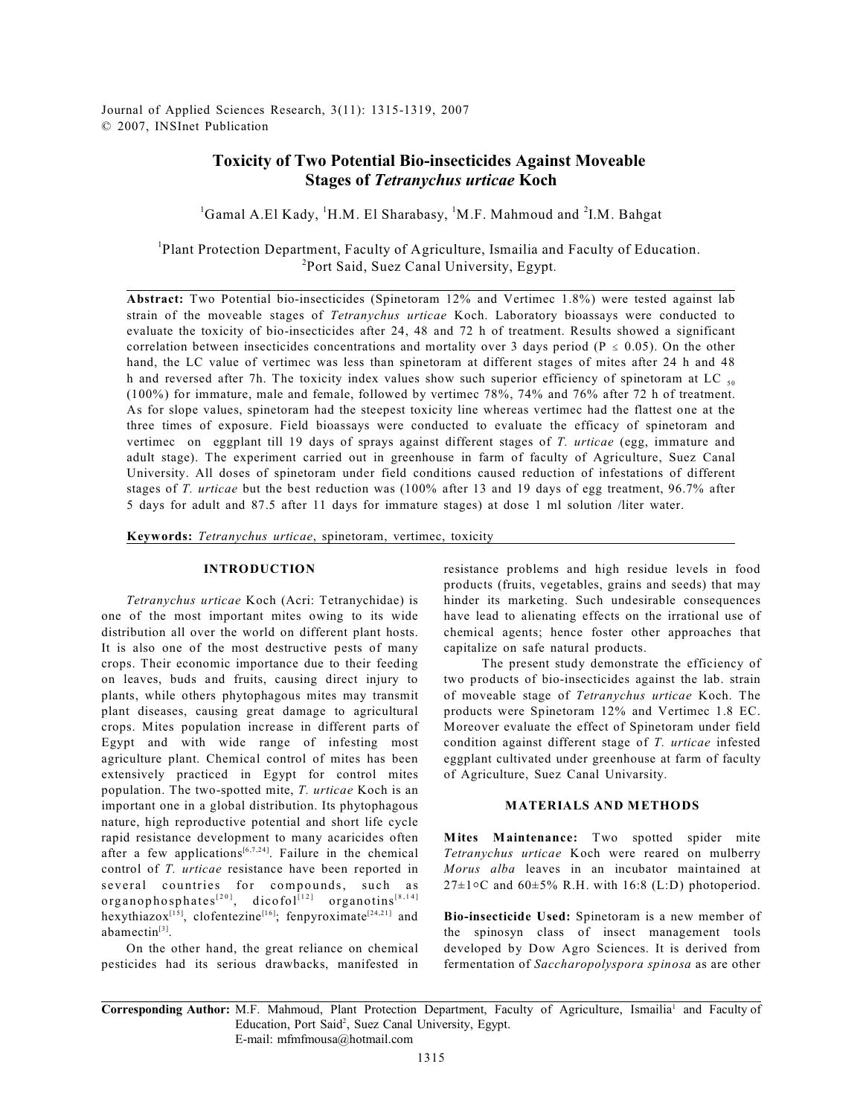# **Toxicity of Two Potential Bio-insecticides Against Moveable Stages of** *Tetranychus urticae* **Koch**

<sup>1</sup>Gamal A.El Kady, <sup>1</sup>H.M. El Sharabasy, <sup>1</sup>M.F. Mahmoud and <sup>2</sup>I.M. Bahgat

<sup>1</sup>Plant Protection Department, Faculty of Agriculture, Ismailia and Faculty of Education. <sup>2</sup>Port Said, Suez Canal University, Egypt.

**Abstract:** Two Potential bio-insecticides (Spinetoram 12% and Vertimec 1.8%) were tested against lab strain of the moveable stages of *Tetranychus urticae* Koch. Laboratory bioassays were conducted to evaluate the toxicity of bio-insecticides after 24, 48 and 72 h of treatment. Results showed a significant correlation between insecticides concentrations and mortality over 3 days period ( $P \le 0.05$ ). On the other hand, the LC value of vertimec was less than spinetoram at different stages of mites after 24 h and 48 h and reversed after 7h. The toxicity index values show such superior efficiency of spinetoram at LC  $_{50}$ (100%) for immature, male and female, followed by vertimec 78%, 74% and 76% after 72 h of treatment. As for slope values, spinetoram had the steepest toxicity line whereas vertimec had the flattest one at the three times of exposure. Field bioassays were conducted to evaluate the efficacy of spinetoram and vertimec on eggplant till 19 days of sprays against different stages of *T. urticae* (egg, immature and adult stage). The experiment carried out in greenhouse in farm of faculty of Agriculture, Suez Canal University. All doses of spinetoram under field conditions caused reduction of infestations of different stages of *T. urticae* but the best reduction was (100% after 13 and 19 days of egg treatment, 96.7% after 5 days for adult and 87.5 after 11 days for immature stages) at dose 1 ml solution /liter water.

**Keywords:** *Tetranychus urticae*, spinetoram, vertimec, toxicity

#### **INTRODUCTION**

*Tetranychus urticae* Koch (Acri: Tetranychidae) is one of the most important mites owing to its wide distribution all over the world on different plant hosts. It is also one of the most destructive pests of many crops. Their economic importance due to their feeding on leaves, buds and fruits, causing direct injury to plants, while others phytophagous mites may transmit plant diseases, causing great damage to agricultural crops. Mites population increase in different parts of Egypt and with wide range of infesting most agriculture plant. Chemical control of mites has been extensively practiced in Egypt for control mites population. The two-spotted mite, *T. urticae* Koch is an important one in a global distribution. Its phytophagous nature, high reproductive potential and short life cycle rapid resistance development to many acaricides often after a few applications<sup>[6,7,24]</sup>. Failure in the chemical control of *T. urticae* resistance have been reported in several countries for compounds, such as  $organophosphates<sup>[20]</sup>, dicofol<sup>[12]</sup>  organotins<sup>[8,14]</sup>$ hexythiazox<sup>[15]</sup>, clofentezine<sup>[16]</sup>; fenpyroximate<sup>[24,21]</sup> and abamectin<sup>[3]</sup>.

On the other hand, the great reliance on chemical pesticides had its serious drawbacks, manifested in resistance problems and high residue levels in food products (fruits, vegetables, grains and seeds) that may hinder its marketing. Such undesirable consequences have lead to alienating effects on the irrational use of chemical agents; hence foster other approaches that capitalize on safe natural products.

 The present study demonstrate the efficiency of two products of bio-insecticides against the lab. strain of moveable stage of *Tetranychus urticae* Koch. The products were Spinetoram 12% and Vertimec 1.8 EC. Moreover evaluate the effect of Spinetoram under field condition against different stage of *T. urticae* infested eggplant cultivated under greenhouse at farm of faculty of Agriculture, Suez Canal Univarsity.

### **MATERIALS AND METHODS**

**Mites Maintenance:** Two spotted spider mite *Tetranychus urticae* Koch were reared on mulberry *Morus alba* leaves in an incubator maintained at  $27\pm1$ °C and 60 $\pm5\%$  R.H. with 16:8 (L:D) photoperiod.

**Bio-insecticide Used:** Spinetoram is a new member of the spinosyn class of insect management tools developed by Dow Agro Sciences. It is derived from fermentation of *Saccharopolyspora spinosa* as are other

**Corresponding Author:** M.F. Mahmoud, Plant Protection Department, Faculty of Agriculture, Ismailia<sup>1</sup> and Faculty of Education, Port Said<sup>2</sup>, Suez Canal University, Egypt. E-mail: mfmfmousa@hotmail.com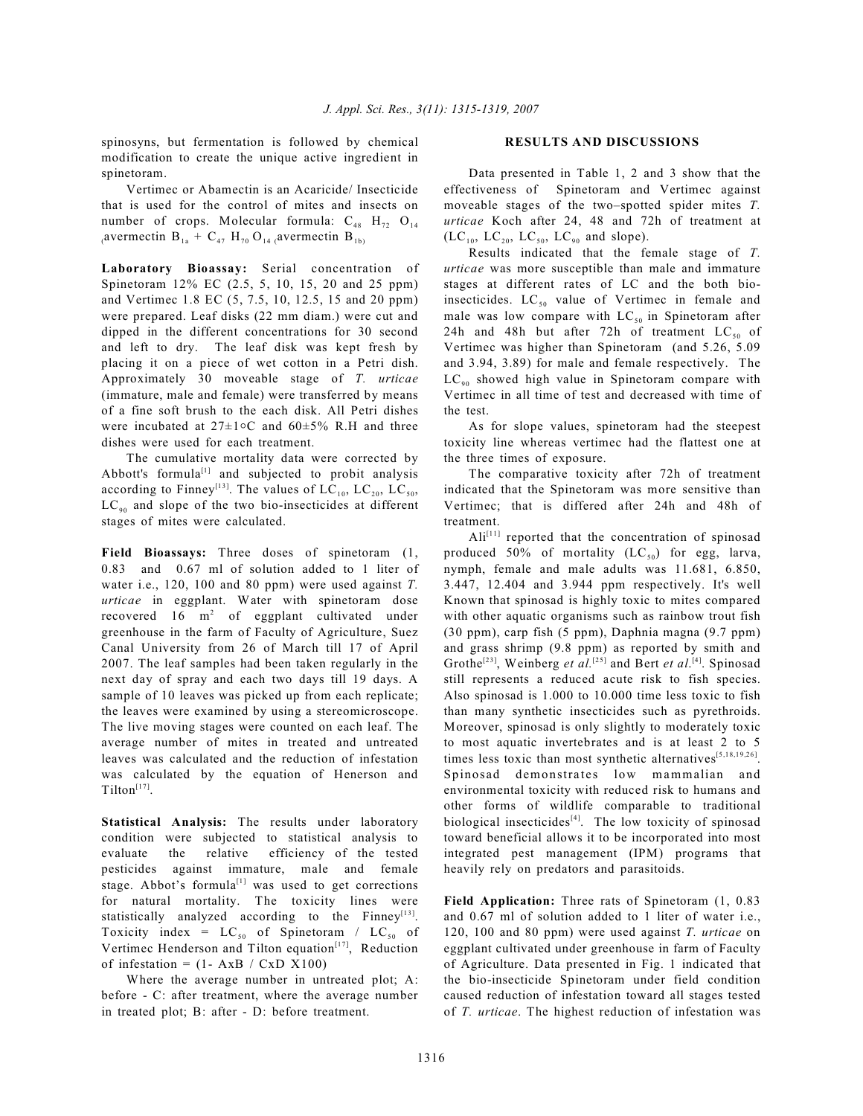spinosyns, but fermentation is followed by chemical modification to create the unique active ingredient in spinetoram.

Vertimec or Abamectin is an Acaricide/ Insecticide that is used for the control of mites and insects on number of crops. Molecular formula:  $C_{48}$  H<sub>72</sub> O<sub>14</sub> (avermectin B<sub>1a</sub> + C<sub>47</sub> H<sub>70</sub> O<sub>14</sub> (avermectin B<sub>1b)</sub>

**Laboratory Bioassay:** Serial concentration of Spinetoram 12% EC (2.5, 5, 10, 15, 20 and 25 ppm) and Vertimec 1.8 EC (5, 7.5, 10, 12.5, 15 and 20 ppm) were prepared. Leaf disks (22 mm diam.) were cut and dipped in the different concentrations for 30 second and left to dry. The leaf disk was kept fresh by placing it on a piece of wet cotton in a Petri dish. Approximately 30 moveable stage of *T. urticae* (immature, male and female) were transferred by means of a fine soft brush to the each disk. All Petri dishes were incubated at  $27 \pm 1$ °C and  $60 \pm 5\%$  R.H and three dishes were used for each treatment.

The cumulative mortality data were corrected by Abbott's formula $^{[1]}$  and subjected to probit analysis according to Finney<sup>[13]</sup>. The values of  $LC_{10}$ ,  $LC_{20}$ ,  $LC_{50}$ ,  $LC_{\text{on}}$  and slope of the two bio-insecticides at different stages of mites were calculated.

**Field Bioassays:** Three doses of spinetoram (1, 0.83 and 0.67 ml of solution added to 1 liter of water i.e., 120, 100 and 80 ppm) were used against *T. urticae* in eggplant. Water with spinetoram dose recovered 16  $m<sup>2</sup>$  of eggplant cultivated under greenhouse in the farm of Faculty of Agriculture, Suez Canal University from 26 of March till 17 of April 2007. The leaf samples had been taken regularly in the next day of spray and each two days till 19 days. A sample of 10 leaves was picked up from each replicate; the leaves were examined by using a stereomicroscope. The live moving stages were counted on each leaf. The average number of mites in treated and untreated leaves was calculated and the reduction of infestation was calculated by the equation of Henerson and  $Tilton<sup>[17]</sup>$ .

**Statistical Analysis:** The results under laboratory condition were subjected to statistical analysis to evaluate the relative efficiency of the tested pesticides against immature, male and female stage. Abbot's formula<sup>[1]</sup> was used to get corrections for natural mortality. The toxicity lines were statistically analyzed according to the Finney $[13]$ . Toxicity index =  $LC_{50}$  of Spinetoram /  $LC_{50}$  of Vertimec Henderson and Tilton equation $[17]$ , Reduction of infestation =  $(1 - AxB / CxD X100)$ 

Where the average number in untreated plot; A: before - C: after treatment, where the average number in treated plot; B: after - D: before treatment.

#### **RESULTS AND DISCUSSIONS**

Data presented in Table 1, 2 and 3 show that the effectiveness of Spinetoram and Vertimec against moveable stages of the two–spotted spider mites *T. urticae* Koch after 24, 48 and 72h of treatment at  $(LC_{10}, LC_{20}, LC_{50}, LC_{90}$  and slope).

Results indicated that the female stage of *T. urticae* was more susceptible than male and immature stages at different rates of LC and the both bioinsecticides.  $LC_{50}$  value of Vertimec in female and male was low compare with  $LC_{50}$  in Spinetoram after 24h and 48h but after 72h of treatment  $LC_{50}$  of Vertimec was higher than Spinetoram (and 5.26, 5.09 and 3.94, 3.89) for male and female respectively. The  $LC_{90}$  showed high value in Spinetoram compare with Vertimec in all time of test and decreased with time of the test.

As for slope values, spinetoram had the steepest toxicity line whereas vertimec had the flattest one at the three times of exposure.

The comparative toxicity after 72h of treatment indicated that the Spinetoram was more sensitive than Vertimec; that is differed after 24h and 48h of treatment.

 $\text{Ali}^{[11]}$  reported that the concentration of spinosad produced 50% of mortality  $(LC_{50})$  for egg, larva, nymph, female and male adults was 11.681, 6.850, 3.447, 12.404 and 3.944 ppm respectively. It's well Known that spinosad is highly toxic to mites compared with other aquatic organisms such as rainbow trout fish (30 ppm), carp fish (5 ppm), Daphnia magna (9.7 ppm) and grass shrimp (9.8 ppm) as reported by smith and Grothe<sup>[23]</sup>, Weinberg *et al.*<sup>[25]</sup> and Bert *et al.*<sup>[4]</sup>. Spinosad still represents a reduced acute risk to fish species. Also spinosad is 1.000 to 10.000 time less toxic to fish than many synthetic insecticides such as pyrethroids. Moreover, spinosad is only slightly to moderately toxic to most aquatic invertebrates and is at least 2 to 5 times less toxic than most synthetic alternatives  $[5,18,19,26]$ . Spinosad demonstrates low mammalian and environmental toxicity with reduced risk to humans and other forms of wildlife comparable to traditional biological insecticides $[4]$ . The low toxicity of spinosad toward beneficial allows it to be incorporated into most integrated pest management (IPM) programs that heavily rely on predators and parasitoids.

**Field Application:** Three rats of Spinetoram (1, 0.83 and 0.67 ml of solution added to 1 liter of water i.e., 120, 100 and 80 ppm) were used against *T. urticae* on eggplant cultivated under greenhouse in farm of Faculty of Agriculture. Data presented in Fig. 1 indicated that the bio-insecticide Spinetoram under field condition caused reduction of infestation toward all stages tested of *T. urticae*. The highest reduction of infestation was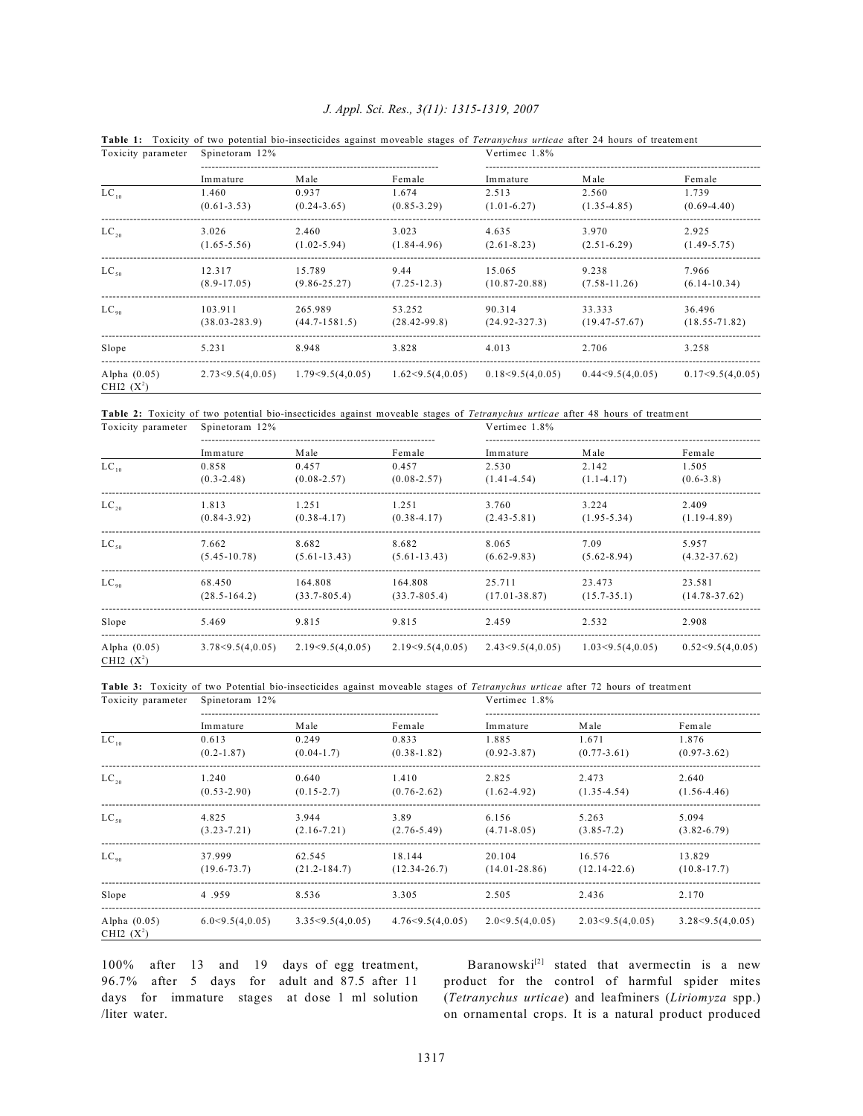| Toxicity parameter             | Spinetoram 12%    |                   |                  | Vertimec 1.8%     |                   |                   |
|--------------------------------|-------------------|-------------------|------------------|-------------------|-------------------|-------------------|
|                                | Immature          | Male              | Female           | Immature          | Male              | Female            |
| $LC_{10}$                      | 1.460             | 0.937             | 1.674            | 2.513             | 2.560             | 1.739             |
|                                | $(0.61 - 3.53)$   | $(0.24 - 3.65)$   | $(0.85 - 3.29)$  | $(1.01-6.27)$     | $(1.35 - 4.85)$   | $(0.69 - 4.40)$   |
| $LC_{20}$                      | 3.026             | 2.460             | 3.023            | 4.635             | 3.970             | 2.925             |
|                                | $(1.65 - 5.56)$   | $(1.02 - 5.94)$   | $(1.84 - 4.96)$  | $(2.61 - 8.23)$   | $(2.51-6.29)$     | $(1.49 - 5.75)$   |
| $LC_{50}$                      | 12.317            | 15.789            | 9.44             | 15.065            | 9.238             | 7.966             |
|                                | $(8.9 - 17.05)$   | $(9.86 - 25.27)$  | $(7.25 - 12.3)$  | $(10.87 - 20.88)$ | $(7.58 - 11.26)$  | $(6.14 - 10.34)$  |
| $LC_{90}$                      | 103.911           | 265.989           | 53.252           | 90.314            | 33.333            | 36.496            |
|                                | $(38.03 - 283.9)$ | $(44.7 - 1581.5)$ | $(28.42 - 99.8)$ | $(24.92 - 327.3)$ | $(19.47 - 57.67)$ | $(18.55 - 71.82)$ |
| Slope                          | 5.231             | 8.948             | 3.828            | 4.013             | 2.706             | 3.258             |
| Alpha $(0.05)$<br>CHI2 $(X^2)$ | 2.73<9.5(4,0.05)  | 1.79<9.5(4,0.05)  | 1.62<9.5(4,0.05) | 0.18<9.5(4,0.05)  | 0.44<9.5(4,0.05)  | 0.17<9.5(4,0.05)  |

## *J. Appl. Sci. Res., 3(11): 1315-1319, 2007*

**Table 1:** Toxicity of two potential bio-insecticides against moveable stages of *Tetranychus urticae* after 24 hours of treatement

**Table 2:** Toxicity of two potential bio-insecticides against moveable stages of *Tetranychus urticae* after 48 hours of treatment

| Toxicity parameter             | Spinetoram 12%   |                  |                  | Vertimec 1.8%     |                  |                   |
|--------------------------------|------------------|------------------|------------------|-------------------|------------------|-------------------|
|                                | Immature         | Male             | Female           | Immature          | Male             | Female            |
| $LC_{10}$                      | 0.858            | 0.457            | 0.457            | 2.530             | 2.142            | 1.505             |
|                                | $(0.3 - 2.48)$   | $(0.08 - 2.57)$  | $(0.08 - 2.57)$  | $(1.41 - 4.54)$   | $(1.1 - 4.17)$   | $(0.6 - 3.8)$     |
| $LC_{20}$                      | 1.813            | 1.251            | 1.251            | 3.760             | 3.224            | 2.409             |
|                                | $(0.84 - 3.92)$  | $(0.38 - 4.17)$  | $(0.38 - 4.17)$  | $(2.43 - 5.81)$   | $(1.95 - 5.34)$  | $(1.19-4.89)$     |
| $LC_{50}$                      | 7.662            | 8.682            | 8.682            | 8.065             | 7.09             | 5.957             |
|                                | $(5.45 - 10.78)$ | $(5.61-13.43)$   | $(5.61-13.43)$   | $(6.62 - 9.83)$   | $(5.62 - 8.94)$  | $(4.32 - 37.62)$  |
| $LC_{\alpha}$                  | 68.450           | 164.808          | 164.808          | 25.711            | 23.473           | 23.581            |
|                                | $(28.5 - 164.2)$ | $(33.7 - 805.4)$ | $(33.7 - 805.4)$ | $(17.01 - 38.87)$ | $(15.7 - 35.1)$  | $(14.78 - 37.62)$ |
| Slope                          | 5.469            | 9.815            | 9.815            | 2.459             | 2.532            | 2.908             |
| Alpha $(0.05)$<br>CHI2 $(X^2)$ | 3.78<9.5(4,0.05) | 2.19<9.5(4,0.05) | 2.19<9.5(4,0.05) | 2.43<9.5(4,0.05)  | 1.03<9.5(4,0.05) | 0.52<9.5(4,0.05)  |

**Table 3:** Toxicity of two Potential bio-insecticides against moveable stages of *Tetranychus urticae* after 72 hours of treatment

| Toxicity parameter             | Spinetoram 12%  |                     |                  | Vertimec 1.8%     |                  |                  |  |
|--------------------------------|-----------------|---------------------|------------------|-------------------|------------------|------------------|--|
|                                | Immature        | Male                | Female           | Immature          | Male             | Female           |  |
| $LC_{10}$                      | 0.613           | 0.249               | 0.833            | 1.885             | 1.671            | 1.876            |  |
|                                | $(0.2 - 1.87)$  | $(0.04-1.7)$        | $(0.38 - 1.82)$  | $(0.92 - 3.87)$   | $(0.77 - 3.61)$  | $(0.97 - 3.62)$  |  |
| $LC_{20}$                      | 1.240           | 0.640               | 1.410            | 2.825             | 2.473            | 2.640            |  |
|                                | $(0.53 - 2.90)$ | $(0.15 - 2.7)$      | $(0.76 - 2.62)$  | $(1.62 - 4.92)$   | $(1.35 - 4.54)$  | $(1.56 - 4.46)$  |  |
| $LC_{so}$                      | 4.825           | 3.944               | 3.89             | 6.156             | 5.263            | 5.094            |  |
|                                | $(3.23 - 7.21)$ | $(2.16 - 7.21)$     | $(2.76 - 5.49)$  | $(4.71 - 8.05)$   | $(3.85 - 7.2)$   | $(3.82 - 6.79)$  |  |
| $LC_{90}$                      | 37.999          | 62.545              | 18.144           | 20.104            | 16.576           | 13.829           |  |
|                                | $(19.6 - 73.7)$ | $(21.2 - 184.7)$    | $(12.34 - 26.7)$ | $(14.01 - 28.86)$ | $(12.14 - 22.6)$ | $(10.8 - 17.7)$  |  |
| Slope                          | 4.959           | 8.536               | 3.305            | 2.505             | 2.436            | 2.170            |  |
| Alpha $(0.05)$<br>CHI2 $(X^2)$ | 6.0<9.5(4,0.05) | 3.35 < 9.5(4, 0.05) | 4.76<9.5(4,0.05) | 2.0<9.5(4,0.05)   | 2.03<9.5(4,0.05) | 3.28<9.5(4,0.05) |  |

100% after 13 and 19 days of egg treatment, 96.7% after 5 days for adult and 87.5 after 11 days for immature stages at dose 1 ml solution /liter water.

Baranowski<sup>[2]</sup> stated that avermectin is a new product for the control of harmful spider mites (*Tetranychus urticae*) and leafminers (*Liriomyza* spp.) on ornamental crops. It is a natural product produced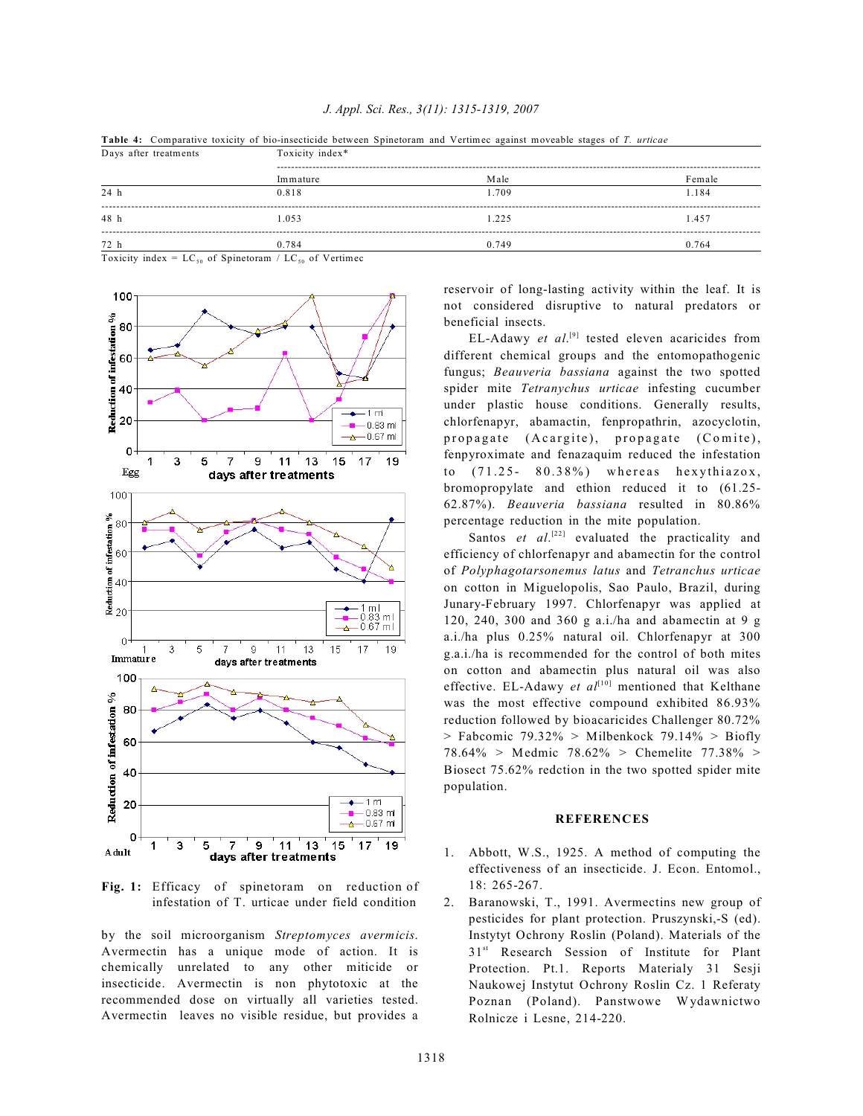**Table 4:** Comparative toxicity of bio-insecticide between Spinetoram and Vertimec against moveable stages of *T. urticae* Days after treatments Toxicity index<sup>\*</sup>

| Days alice treatments |          | TUAICILY IIIUCA |        |  |  |  |
|-----------------------|----------|-----------------|--------|--|--|--|
|                       | Immature | Male            | Female |  |  |  |
| 24 h                  | 0.818    | 1.709           | 1.184  |  |  |  |
| 48 h                  | 1.053    | 1.225           | 1.457  |  |  |  |
| 72 h                  | 0.784    | 0.749           | 0.764  |  |  |  |

Toxicity index =  $LC_{50}$  of Spinetoram /  $LC_{50}$  of Vertimec



**Fig. 1:** Efficacy of spinetoram on reduction of infestation of T. urticae under field condition

by the soil microorganism *Streptomyces avermicis*. Avermectin has a unique mode of action. It is chemically unrelated to any other miticide or insecticide. Avermectin is non phytotoxic at the recommended dose on virtually all varieties tested. Avermectin leaves no visible residue, but provides a reservoir of long-lasting activity within the leaf. It is not considered disruptive to natural predators or beneficial insects.

EL-Adawy *et al.*<sup>[9]</sup> tested eleven acaricides from different chemical groups and the entomopathogenic fungus; *Beauveria bassiana* against the two spotted spider mite *Tetranychus urticae* infesting cucumber under plastic house conditions. Generally results, chlorfenapyr, abamactin, fenpropathrin, azocyclotin, propagate (Acargite), propagate (Comite), fenpyroximate and fenazaquim reduced the infestation to  $(71.25 - 80.38\%)$  whereas hexythiazox, bromopropylate and ethion reduced it to (61.25- 62.87%). *Beauveria bassiana* resulted in 80.86% percentage reduction in the mite population.

Santos  $et \ al.<sup>[22]</sup> evaluated the practicality and$ efficiency of chlorfenapyr and abamectin for the control of *Polyphagotarsonemus latus* and *Tetranchus urticae* on cotton in Miguelopolis, Sao Paulo, Brazil, during Junary-February 1997. Chlorfenapyr was applied at 120, 240, 300 and 360 g a.i./ha and abamectin at 9 g a.i./ha plus 0.25% natural oil. Chlorfenapyr at 300 g.a.i./ha is recommended for the control of both mites on cotton and abamectin plus natural oil was also effective. EL-Adawy *et al*<sup> $[10]$ </sup> mentioned that Kelthane was the most effective compound exhibited 86.93% reduction followed by bioacaricides Challenger 80.72%  $>$  Fabcomic 79.32%  $>$  Milbenkock 79.14%  $>$  Biofly 78.64% > Medmic 78.62% > Chemelite 77.38% > Biosect 75.62% redction in the two spotted spider mite population.

#### **REFERENCES**

- 1. Abbott, W.S., 1925. A method of computing the effectiveness of an insecticide. J. Econ. Entomol., 18: 265-267.
- 2. Baranowski, T., 1991. Avermectins new group of pesticides for plant protection. Pruszynski,-S (ed). Instytyt Ochrony Roslin (Poland). Materials of the 31<sup>st</sup> Research Session of Institute for Plant Protection. Pt.1. Reports Materialy 31 Sesji Naukowej Instytut Ochrony Roslin Cz. 1 Referaty Poznan (Poland). Panstwowe Wydawnictwo Rolnicze i Lesne, 214-220.